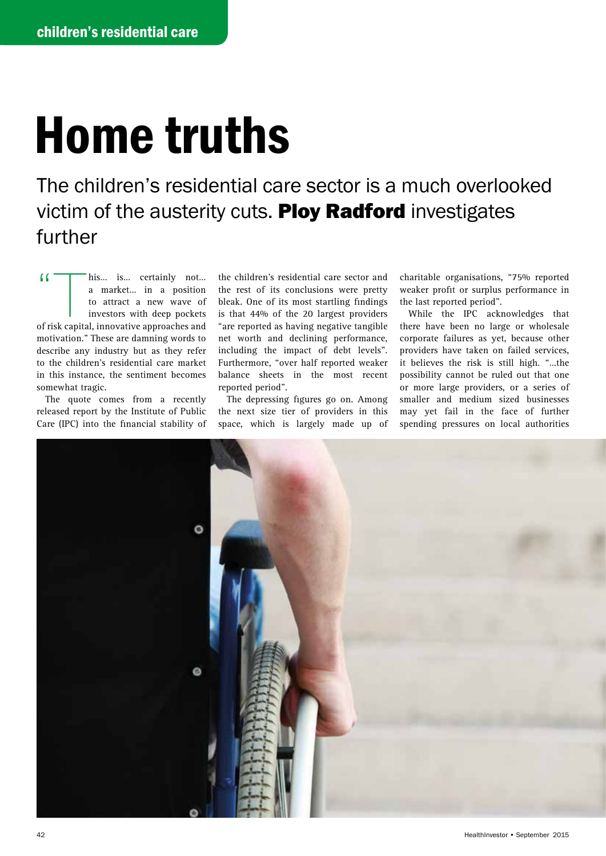## Home truths

The children's residential care sector is a much overlooked victim of the austerity cuts. Ploy Radford investigates further

(<br>
This… is… certainly not...<br>
a market... in a position<br>
to attract a new wave of<br>
investors with deep pockets<br>
of risk canital innovative annoaches and a market… in a position to attract a new wave of investors with deep pockets of risk capital, innovative approaches and motivation." These are damning words to describe any industry but as they refer to the children's residential care market in this instance, the sentiment becomes somewhat tragic.

The quote comes from a recently released report by the Institute of Public Care (IPC) into the financial stability of

the children's residential care sector and the rest of its conclusions were pretty bleak. One of its most startling findings is that 44% of the 20 largest providers "are reported as having negative tangible net worth and declining performance, including the impact of debt levels". Furthermore, "over half reported weaker balance sheets in the most recent reported period".

The depressing figures go on. Among the next size tier of providers in this space, which is largely made up of charitable organisations, "75% reported weaker profit or surplus performance in the last reported period".

While the IPC acknowledges that there have been no large or wholesale corporate failures as yet, because other providers have taken on failed services, it believes the risk is still high. "…the possibility cannot be ruled out that one or more large providers, or a series of smaller and medium sized businesses may yet fail in the face of further spending pressures on local authorities

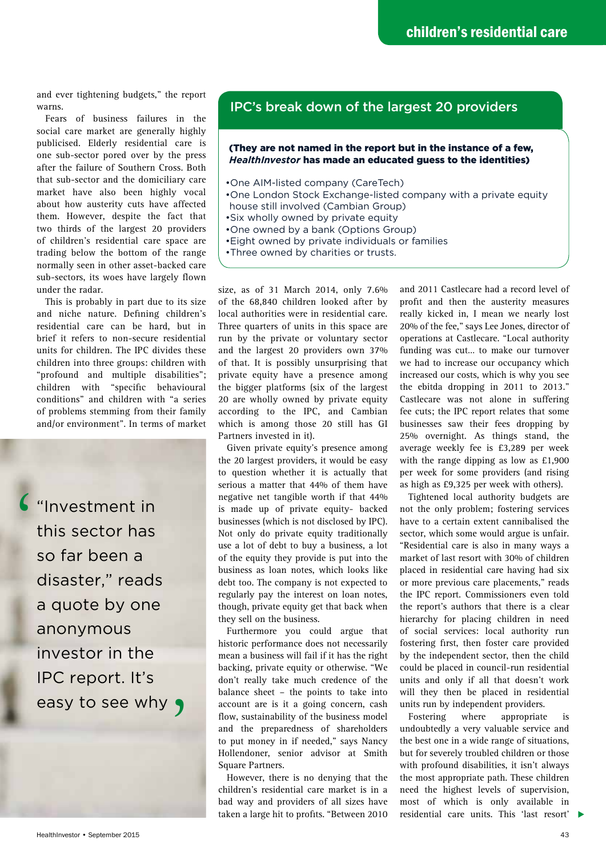and ever tightening budgets," the report warns.

Fears of business failures in the social care market are generally highly publicised. Elderly residential care is one sub-sector pored over by the press after the failure of Southern Cross. Both that sub-sector and the domiciliary care market have also been highly vocal about how austerity cuts have affected them. However, despite the fact that two thirds of the largest 20 providers of children's residential care space are trading below the bottom of the range normally seen in other asset-backed care sub-sectors, its woes have largely flown under the radar.

This is probably in part due to its size and niche nature. Defining children's residential care can be hard, but in brief it refers to non-secure residential units for children. The IPC divides these children into three groups: children with "profound and multiple disabilities"; children with "specific behavioural conditions" and children with "a series of problems stemming from their family and/or environment". In terms of market

"Investment in this sector has so far been a disaster," reads a quote by one anonymous investor in the IPC report. It's easy to see why  $\bullet$  $\zeta$ 

## IPC's break down of the largest 20 providers

## (They are not named in the report but in the instance of a few, *HealthInvestor* has made an educated guess to the identities)

- •One AIM-listed company (CareTech)
- •One London Stock Exchange-listed company with a private equity house still involved (Cambian Group)
- •Six wholly owned by private equity
- •One owned by a bank (Options Group)
- •Eight owned by private individuals or families
- •Three owned by charities or trusts.

size, as of 31 March 2014, only 7.6% of the 68,840 children looked after by local authorities were in residential care. Three quarters of units in this space are run by the private or voluntary sector and the largest 20 providers own 37% of that. It is possibly unsurprising that private equity have a presence among the bigger platforms (six of the largest 20 are wholly owned by private equity according to the IPC, and Cambian which is among those 20 still has GI Partners invested in it).

Given private equity's presence among the 20 largest providers, it would be easy to question whether it is actually that serious a matter that 44% of them have negative net tangible worth if that 44% is made up of private equity- backed businesses (which is not disclosed by IPC). Not only do private equity traditionally use a lot of debt to buy a business, a lot of the equity they provide is put into the business as loan notes, which looks like debt too. The company is not expected to regularly pay the interest on loan notes, though, private equity get that back when they sell on the business.

Furthermore you could argue that historic performance does not necessarily mean a business will fail if it has the right backing, private equity or otherwise. "We don't really take much credence of the balance sheet – the points to take into account are is it a going concern, cash flow, sustainability of the business model and the preparedness of shareholders to put money in if needed," says Nancy Hollendoner, senior advisor at Smith Square Partners.

However, there is no denying that the children's residential care market is in a bad way and providers of all sizes have taken a large hit to profits. "Between 2010

and 2011 Castlecare had a record level of profit and then the austerity measures really kicked in, I mean we nearly lost 20% of the fee," says Lee Jones, director of operations at Castlecare. "Local authority funding was cut… to make our turnover we had to increase our occupancy which increased our costs, which is why you see the ebitda dropping in 2011 to 2013." Castlecare was not alone in suffering fee cuts; the IPC report relates that some businesses saw their fees dropping by 25% overnight. As things stand, the average weekly fee is £3,289 per week with the range dipping as low as £1,900 per week for some providers (and rising as high as £9,325 per week with others).

Tightened local authority budgets are not the only problem; fostering services have to a certain extent cannibalised the sector, which some would argue is unfair. "Residential care is also in many ways a market of last resort with 30% of children placed in residential care having had six or more previous care placements," reads the IPC report. Commissioners even told the report's authors that there is a clear hierarchy for placing children in need of social services: local authority run fostering first, then foster care provided by the independent sector, then the child could be placed in council-run residential units and only if all that doesn't work will they then be placed in residential units run by independent providers.

residential care units. This 'last resort'  $\blacktriangleright$ Fostering where appropriate is undoubtedly a very valuable service and the best one in a wide range of situations, but for severely troubled children or those with profound disabilities, it isn't always the most appropriate path. These children need the highest levels of supervision, most of which is only available in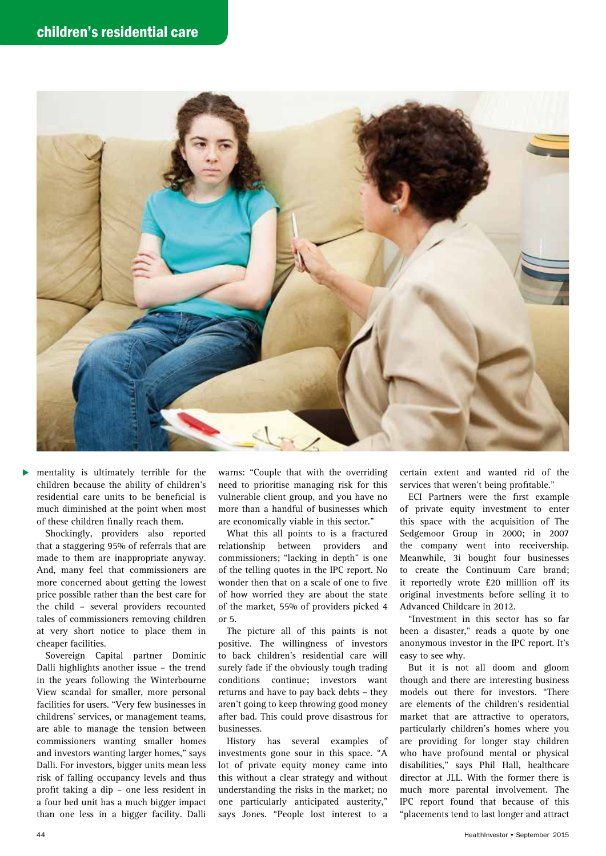

mentality is ultimately terrible for the children because the ability of children's residential care units to be beneficial is much diminished at the point when most of these children finally reach them.

Shockingly, providers also reported that a staggering 95% of referrals that are made to them are inappropriate anyway. And, many feel that commissioners are more concerned about getting the lowest price possible rather than the best care for the child – several providers recounted tales of commissioners removing children at very short notice to place them in cheaper facilities.

Sovereign Capital partner Dominic Dalli highlights another issue – the trend in the years following the Winterbourne View scandal for smaller, more personal facilities for users. "Very few businesses in childrens' services, or management teams, are able to manage the tension between commissioners wanting smaller homes and investors wanting larger homes," says Dalli. For investors, bigger units mean less risk of falling occupancy levels and thus profit taking a dip – one less resident in a four bed unit has a much bigger impact than one less in a bigger facility. Dalli

warns: "Couple that with the overriding need to prioritise managing risk for this vulnerable client group, and you have no more than a handful of businesses which are economically viable in this sector."

What this all points to is a fractured relationship between providers and commissioners; "lacking in depth" is one of the telling quotes in the IPC report. No wonder then that on a scale of one to five of how worried they are about the state of the market, 55% of providers picked 4 or 5.

The picture all of this paints is not positive. The willingness of investors to back children's residential care will surely fade if the obviously tough trading conditions continue; investors want returns and have to pay back debts – they aren't going to keep throwing good money after bad. This could prove disastrous for businesses.

History has several examples of investments gone sour in this space. "A lot of private equity money came into this without a clear strategy and without understanding the risks in the market; no one particularly anticipated austerity," says Jones. "People lost interest to a

certain extent and wanted rid of the services that weren't being profitable."

ECI Partners were the first example of private equity investment to enter this space with the acquisition of The Sedgemoor Group in 2000; in 2007 the company went into receivership. Meanwhile, 3i bought four businesses to create the Continuum Care brand; it reportedly wrote £20 milllion off its original investments before selling it to Advanced Childcare in 2012.

"Investment in this sector has so far been a disaster," reads a quote by one anonymous investor in the IPC report. It's easy to see why.

But it is not all doom and gloom though and there are interesting business models out there for investors. "There are elements of the children's residential market that are attractive to operators, particularly children's homes where you are providing for longer stay children who have profound mental or physical disabilities," says Phil Hall, healthcare director at JLL. With the former there is much more parental involvement. The IPC report found that because of this "placements tend to last longer and attract